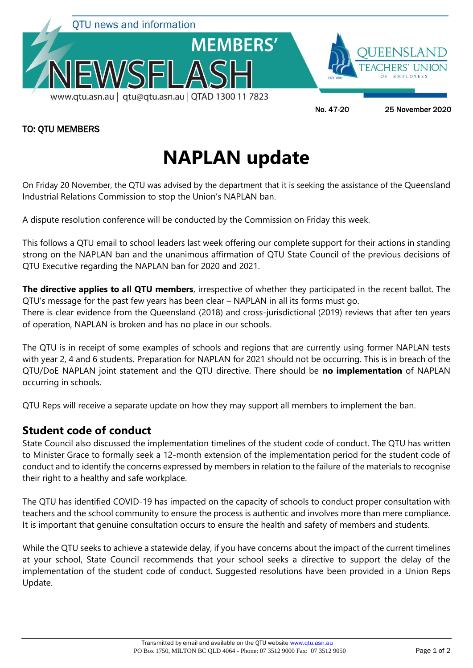

## TO: QTU MEMBERS

## **NAPLAN update**

On Friday 20 November, the QTU was advised by the department that it is seeking the assistance of the Queensland Industrial Relations Commission to stop the Union's NAPLAN ban.

A dispute resolution conference will be conducted by the Commission on Friday this week.

This follows a QTU email to school leaders last week offering our complete support for their actions in standing strong on the NAPLAN ban and the unanimous affirmation of QTU State Council of the previous decisions of QTU Executive regarding the NAPLAN ban for 2020 and 2021.

**The directive applies to all QTU members**, irrespective of whether they participated in the recent ballot. The QTU's message for the past few years has been clear – NAPLAN in all its forms must go.

There is clear evidence from the Queensland (2018) and cross-jurisdictional (2019) reviews that after ten years of operation, NAPLAN is broken and has no place in our schools.

The QTU is in receipt of some examples of schools and regions that are currently using former NAPLAN tests with year 2, 4 and 6 students. Preparation for NAPLAN for 2021 should not be occurring. This is in breach of the QTU/DoE NAPLAN joint statement and the QTU directive. There should be **no implementation** of NAPLAN occurring in schools.

QTU Reps will receive a separate update on how they may support all members to implement the ban.

## **Student code of conduct**

State Council also discussed the implementation timelines of the student code of conduct. The QTU has written to Minister Grace to formally seek a 12-month extension of the implementation period for the student code of conduct and to identify the concerns expressed by members in relation to the failure of the materials to recognise their right to a healthy and safe workplace.

The QTU has identified COVID-19 has impacted on the capacity of schools to conduct proper consultation with teachers and the school community to ensure the process is authentic and involves more than mere compliance. It is important that genuine consultation occurs to ensure the health and safety of members and students.

While the QTU seeks to achieve a statewide delay, if you have concerns about the impact of the current timelines at your school, State Council recommends that your school seeks a directive to support the delay of the implementation of the student code of conduct. Suggested resolutions have been provided in a Union Reps Update.